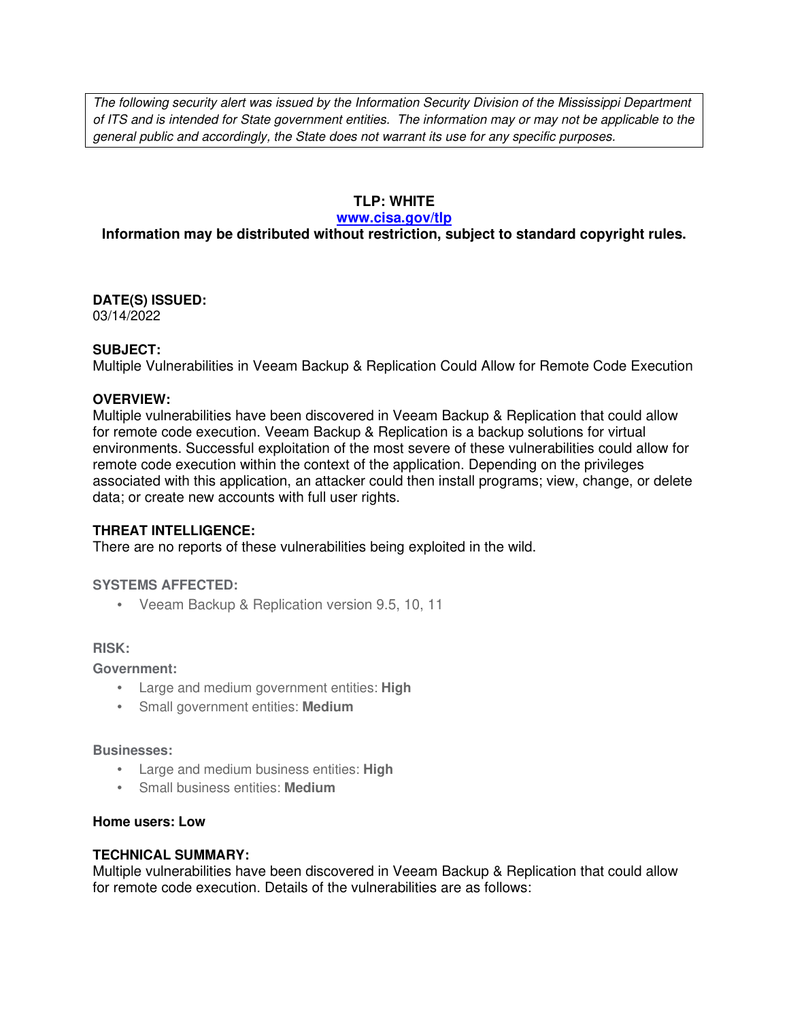The following security alert was issued by the Information Security Division of the Mississippi Department of ITS and is intended for State government entities. The information may or may not be applicable to the general public and accordingly, the State does not warrant its use for any specific purposes.

#### **TLP: WHITE**

#### **www.cisa.gov/tlp**

## **Information may be distributed without restriction, subject to standard copyright rules.**

# **DATE(S) ISSUED:**

03/14/2022

#### **SUBJECT:**

Multiple Vulnerabilities in Veeam Backup & Replication Could Allow for Remote Code Execution

#### **OVERVIEW:**

Multiple vulnerabilities have been discovered in Veeam Backup & Replication that could allow for remote code execution. Veeam Backup & Replication is a backup solutions for virtual environments. Successful exploitation of the most severe of these vulnerabilities could allow for remote code execution within the context of the application. Depending on the privileges associated with this application, an attacker could then install programs; view, change, or delete data; or create new accounts with full user rights.

#### **THREAT INTELLIGENCE:**

There are no reports of these vulnerabilities being exploited in the wild.

#### **SYSTEMS AFFECTED:**

• Veeam Backup & Replication version 9.5, 10, 11

#### **RISK:**

**Government:**

- Large and medium government entities: **High**
- Small government entities: **Medium**

#### **Businesses:**

- Large and medium business entities: **High**
- Small business entities: **Medium**

#### **Home users: Low**

#### **TECHNICAL SUMMARY:**

Multiple vulnerabilities have been discovered in Veeam Backup & Replication that could allow for remote code execution. Details of the vulnerabilities are as follows: